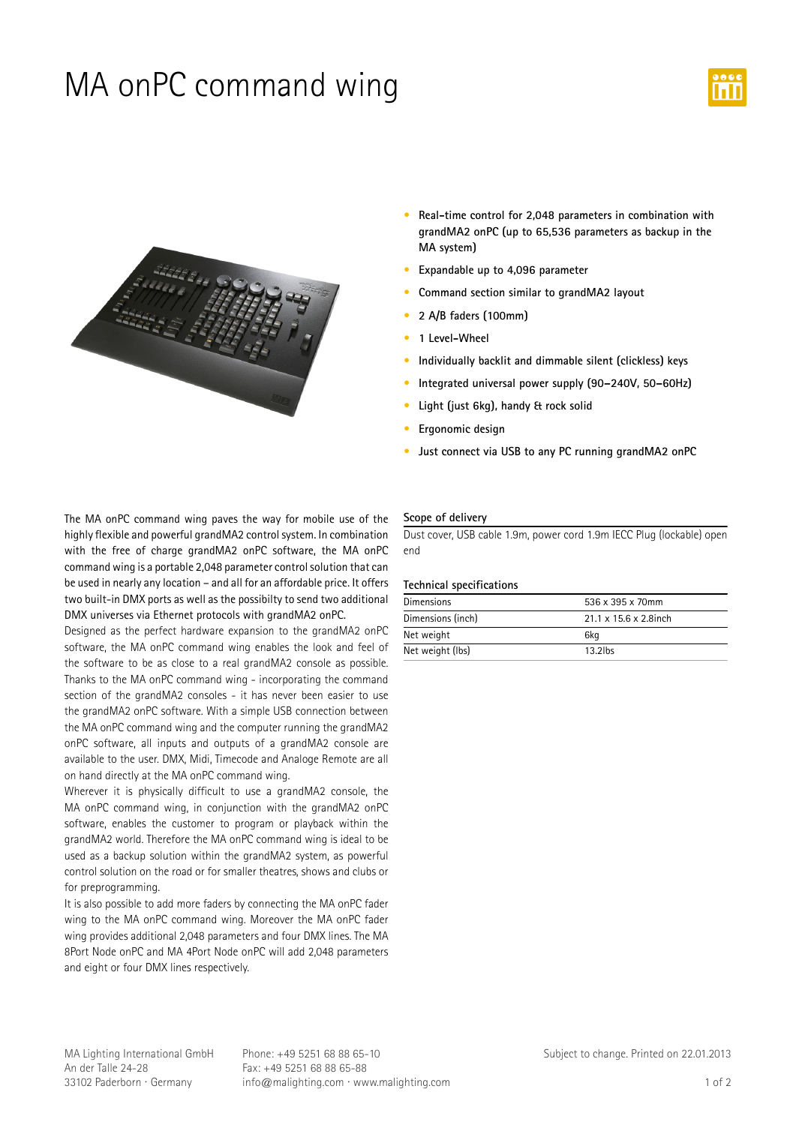## MA onPC command wing





- **•** Real-time control for 2,048 parameters in combination with **grandMA2-onPC-(up-to-65,536-parameters-as-backup-in-the MA-system)**
- **•** Expandable up to 4,096 parameter
- **•** Command section similar to grandMA2 layout
- **• 2-A/B-faders-(100mm)**
- **• 1-Level-Wheel**
- **•** Individually backlit and dimmable silent (clickless) keys
- Integrated universal power supply (90–240V, 50–60Hz)
- **•** Light (just 6kg), handy & rock solid
- **•** Ergonomic design
- **•** Just connect via USB to any PC running grandMA2 onPC

The MA onPC command wing paves the way for mobile use of the highly flexible and powerful grandMA2 control system. In combination with the free of charge grandMA2 onPC software, the MA onPC command wing is a portable 2,048 parameter control solution that can be used in nearly any location - and all for an affordable price. It offers two built-in DMX ports as well as the possibilty to send two additional DMX universes via Ethernet protocols with grandMA2 onPC.

Designed as the perfect hardware expansion to the grandMA2 onPC software, the MA onPC command wing enables the look and feel of the software to be as close to a real grandMA2 console as possible. Thanks to the MA onPC command wing - incorporating the command section of the grandMA2 consoles - it has never been easier to use the grandMA2 onPC software. With a simple USB connection between the MA onPC command wing and the computer running the grandMA2 onPC software, all inputs and outputs of a grandMA2 console are available to the user. DMX, Midi, Timecode and Analoge Remote are all on hand directly at the MA onPC command wing.

Wherever it is physically difficult to use a grandMA2 console, the MA onPC command wing, in conjunction with the grandMA2 onPC software, enables the customer to program or playback within the grandMA2 world. Therefore the MA onPC command wing is ideal to be used as a backup solution within the grandMA2 system, as powerful control solution on the road or for smaller theatres, shows and clubs or for preprogramming.

It is also possible to add more faders by connecting the MA onPC fader wing to the MA onPC command wing. Moreover the MA onPC fader wing provides additional 2,048 parameters and four DMX lines. The MA 8Port Node onPC and MA 4Port Node onPC will add 2,048 parameters and eight or four DMX lines respectively.

### **Scope-of-delivery**

Dust cover, USB cable 1.9m, power cord 1.9m IECC Plug (lockable) open end

#### **Technical-specifications**

| <b>Dimensions</b> | 536 x 395 x 70mm                   |
|-------------------|------------------------------------|
| Dimensions (inch) | $21.1 \times 15.6 \times 2.8$ inch |
| Net weight        | 6kg                                |
| Net weight (lbs)  | $13.2$ lbs                         |

MA Lighting International GmbH An der Talle 24-28 33102 Paderborn · Germany